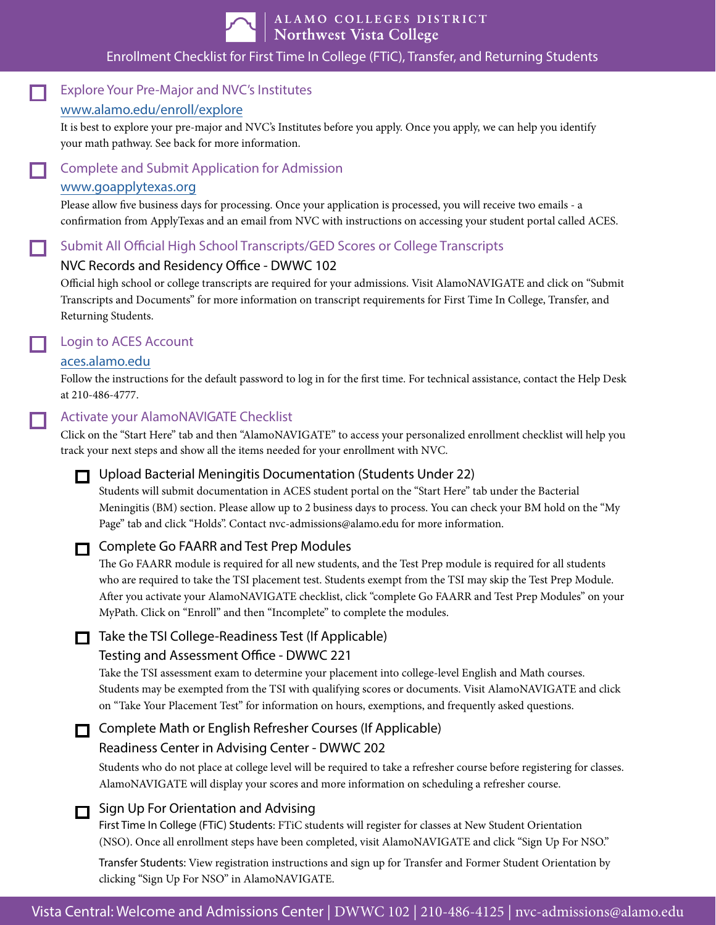

 $\Box$ 

 $\Box$ 

 $\Box$ 

ALAMO COLLEGES DISTRICT<br>Northwest Vista College

### Enrollment Checklist for First Time In College (FTiC), Transfer, and Returning Students

| www.alamo.edu/enroll/explore<br>It is best to explore your pre-major and NVC's Institutes before you apply. Once you apply, we can help you identify<br>your math pathway. See back for more information.<br><b>Complete and Submit Application for Admission</b><br>$\Box$<br>www.goapplytexas.org<br>Please allow five business days for processing. Once your application is processed, you will receive two emails - a<br>confirmation from ApplyTexas and an email from NVC with instructions on accessing your student portal called ACES.<br>Submit All Official High School Transcripts/GED Scores or College Transcripts<br>□<br>NVC Records and Residency Office - DWWC 102<br>Official high school or college transcripts are required for your admissions. Visit AlamoNAVIGATE and click on "Submit<br>Transcripts and Documents" for more information on transcript requirements for First Time In College, Transfer, and<br>Returning Students.<br>Login to ACES Account<br>□<br>aces.alamo.edu<br>Follow the instructions for the default password to log in for the first time. For technical assistance, contact the Help Desk<br>at 210-486-4777.<br><b>Activate your AlamoNAVIGATE Checklist</b><br>Click on the "Start Here" tab and then "AlamoNAVIGATE" to access your personalized enrollment checklist will help you<br>track your next steps and show all the items needed for your enrollment with NVC.<br>Upload Bacterial Meningitis Documentation (Students Under 22)<br>п<br>Students will submit documentation in ACES student portal on the "Start Here" tab under the Bacterial<br>Meningitis (BM) section. Please allow up to 2 business days to process. You can check your BM hold on the "My<br>Page" tab and click "Holds". Contact nvc-admissions@alamo.edu for more information.<br><b>Complete Go FAARR and Test Prep Modules</b><br>□<br>The Go FAARR module is required for all new students, and the Test Prep module is required for all students<br>who are required to take the TSI placement test. Students exempt from the TSI may skip the Test Prep Module.<br>After you activate your AlamoNAVIGATE checklist, click "complete Go FAARR and Test Prep Modules" on your<br>MyPath. Click on "Enroll" and then "Incomplete" to complete the modules.<br>Take the TSI College-Readiness Test (If Applicable)<br>Testing and Assessment Office - DWWC 221<br>Take the TSI assessment exam to determine your placement into college-level English and Math courses.<br>Students may be exempted from the TSI with qualifying scores or documents. Visit AlamoNAVIGATE and click<br>on "Take Your Placement Test" for information on hours, exemptions, and frequently asked questions.<br>Complete Math or English Refresher Courses (If Applicable)<br>$\Box$<br>Readiness Center in Advising Center - DWWC 202<br>Students who do not place at college level will be required to take a refresher course before registering for classes.<br>AlamoNAVIGATE will display your scores and more information on scheduling a refresher course.<br>Sign Up For Orientation and Advising<br>First Time In College (FTiC) Students: FTiC students will register for classes at New Student Orientation<br>(NSO). Once all enrollment steps have been completed, visit AlamoNAVIGATE and click "Sign Up For NSO."<br>Transfer Students: View registration instructions and sign up for Transfer and Former Student Orientation by<br>clicking "Sign Up For NSO" in AlamoNAVIGATE.<br>Vista Central: Welcome and Admissions Center   DWWC 102   210-486-4125   nvc-admissions@alamo.edu | □      | <b>Explore Your Pre-Major and NVC's Institutes</b> |  |
|--------------------------------------------------------------------------------------------------------------------------------------------------------------------------------------------------------------------------------------------------------------------------------------------------------------------------------------------------------------------------------------------------------------------------------------------------------------------------------------------------------------------------------------------------------------------------------------------------------------------------------------------------------------------------------------------------------------------------------------------------------------------------------------------------------------------------------------------------------------------------------------------------------------------------------------------------------------------------------------------------------------------------------------------------------------------------------------------------------------------------------------------------------------------------------------------------------------------------------------------------------------------------------------------------------------------------------------------------------------------------------------------------------------------------------------------------------------------------------------------------------------------------------------------------------------------------------------------------------------------------------------------------------------------------------------------------------------------------------------------------------------------------------------------------------------------------------------------------------------------------------------------------------------------------------------------------------------------------------------------------------------------------------------------------------------------------------------------------------------------------------------------------------------------------------------------------------------------------------------------------------------------------------------------------------------------------------------------------------------------------------------------------------------------------------------------------------------------------------------------------------------------------------------------------------------------------------------------------------------------------------------------------------------------------------------------------------------------------------------------------------------------------------------------------------------------------------------------------------------------------------------------------------------------------------------------------------------------------------------------------------------------------------------------------------------------------------------------------------------------------------------------------------------------------------------------------------------------------------------------------------------------------------------------------------------------------------------------------------------------------------------------------------------------------------------------------------------------------------------------------------------------------------------------------------------------------------------------------------------------------------|--------|----------------------------------------------------|--|
|                                                                                                                                                                                                                                                                                                                                                                                                                                                                                                                                                                                                                                                                                                                                                                                                                                                                                                                                                                                                                                                                                                                                                                                                                                                                                                                                                                                                                                                                                                                                                                                                                                                                                                                                                                                                                                                                                                                                                                                                                                                                                                                                                                                                                                                                                                                                                                                                                                                                                                                                                                                                                                                                                                                                                                                                                                                                                                                                                                                                                                                                                                                                                                                                                                                                                                                                                                                                                                                                                                                                                                                                                                |        |                                                    |  |
|                                                                                                                                                                                                                                                                                                                                                                                                                                                                                                                                                                                                                                                                                                                                                                                                                                                                                                                                                                                                                                                                                                                                                                                                                                                                                                                                                                                                                                                                                                                                                                                                                                                                                                                                                                                                                                                                                                                                                                                                                                                                                                                                                                                                                                                                                                                                                                                                                                                                                                                                                                                                                                                                                                                                                                                                                                                                                                                                                                                                                                                                                                                                                                                                                                                                                                                                                                                                                                                                                                                                                                                                                                |        |                                                    |  |
|                                                                                                                                                                                                                                                                                                                                                                                                                                                                                                                                                                                                                                                                                                                                                                                                                                                                                                                                                                                                                                                                                                                                                                                                                                                                                                                                                                                                                                                                                                                                                                                                                                                                                                                                                                                                                                                                                                                                                                                                                                                                                                                                                                                                                                                                                                                                                                                                                                                                                                                                                                                                                                                                                                                                                                                                                                                                                                                                                                                                                                                                                                                                                                                                                                                                                                                                                                                                                                                                                                                                                                                                                                |        |                                                    |  |
|                                                                                                                                                                                                                                                                                                                                                                                                                                                                                                                                                                                                                                                                                                                                                                                                                                                                                                                                                                                                                                                                                                                                                                                                                                                                                                                                                                                                                                                                                                                                                                                                                                                                                                                                                                                                                                                                                                                                                                                                                                                                                                                                                                                                                                                                                                                                                                                                                                                                                                                                                                                                                                                                                                                                                                                                                                                                                                                                                                                                                                                                                                                                                                                                                                                                                                                                                                                                                                                                                                                                                                                                                                |        |                                                    |  |
|                                                                                                                                                                                                                                                                                                                                                                                                                                                                                                                                                                                                                                                                                                                                                                                                                                                                                                                                                                                                                                                                                                                                                                                                                                                                                                                                                                                                                                                                                                                                                                                                                                                                                                                                                                                                                                                                                                                                                                                                                                                                                                                                                                                                                                                                                                                                                                                                                                                                                                                                                                                                                                                                                                                                                                                                                                                                                                                                                                                                                                                                                                                                                                                                                                                                                                                                                                                                                                                                                                                                                                                                                                |        |                                                    |  |
|                                                                                                                                                                                                                                                                                                                                                                                                                                                                                                                                                                                                                                                                                                                                                                                                                                                                                                                                                                                                                                                                                                                                                                                                                                                                                                                                                                                                                                                                                                                                                                                                                                                                                                                                                                                                                                                                                                                                                                                                                                                                                                                                                                                                                                                                                                                                                                                                                                                                                                                                                                                                                                                                                                                                                                                                                                                                                                                                                                                                                                                                                                                                                                                                                                                                                                                                                                                                                                                                                                                                                                                                                                |        |                                                    |  |
|                                                                                                                                                                                                                                                                                                                                                                                                                                                                                                                                                                                                                                                                                                                                                                                                                                                                                                                                                                                                                                                                                                                                                                                                                                                                                                                                                                                                                                                                                                                                                                                                                                                                                                                                                                                                                                                                                                                                                                                                                                                                                                                                                                                                                                                                                                                                                                                                                                                                                                                                                                                                                                                                                                                                                                                                                                                                                                                                                                                                                                                                                                                                                                                                                                                                                                                                                                                                                                                                                                                                                                                                                                |        |                                                    |  |
|                                                                                                                                                                                                                                                                                                                                                                                                                                                                                                                                                                                                                                                                                                                                                                                                                                                                                                                                                                                                                                                                                                                                                                                                                                                                                                                                                                                                                                                                                                                                                                                                                                                                                                                                                                                                                                                                                                                                                                                                                                                                                                                                                                                                                                                                                                                                                                                                                                                                                                                                                                                                                                                                                                                                                                                                                                                                                                                                                                                                                                                                                                                                                                                                                                                                                                                                                                                                                                                                                                                                                                                                                                |        |                                                    |  |
|                                                                                                                                                                                                                                                                                                                                                                                                                                                                                                                                                                                                                                                                                                                                                                                                                                                                                                                                                                                                                                                                                                                                                                                                                                                                                                                                                                                                                                                                                                                                                                                                                                                                                                                                                                                                                                                                                                                                                                                                                                                                                                                                                                                                                                                                                                                                                                                                                                                                                                                                                                                                                                                                                                                                                                                                                                                                                                                                                                                                                                                                                                                                                                                                                                                                                                                                                                                                                                                                                                                                                                                                                                |        |                                                    |  |
|                                                                                                                                                                                                                                                                                                                                                                                                                                                                                                                                                                                                                                                                                                                                                                                                                                                                                                                                                                                                                                                                                                                                                                                                                                                                                                                                                                                                                                                                                                                                                                                                                                                                                                                                                                                                                                                                                                                                                                                                                                                                                                                                                                                                                                                                                                                                                                                                                                                                                                                                                                                                                                                                                                                                                                                                                                                                                                                                                                                                                                                                                                                                                                                                                                                                                                                                                                                                                                                                                                                                                                                                                                |        |                                                    |  |
|                                                                                                                                                                                                                                                                                                                                                                                                                                                                                                                                                                                                                                                                                                                                                                                                                                                                                                                                                                                                                                                                                                                                                                                                                                                                                                                                                                                                                                                                                                                                                                                                                                                                                                                                                                                                                                                                                                                                                                                                                                                                                                                                                                                                                                                                                                                                                                                                                                                                                                                                                                                                                                                                                                                                                                                                                                                                                                                                                                                                                                                                                                                                                                                                                                                                                                                                                                                                                                                                                                                                                                                                                                |        |                                                    |  |
|                                                                                                                                                                                                                                                                                                                                                                                                                                                                                                                                                                                                                                                                                                                                                                                                                                                                                                                                                                                                                                                                                                                                                                                                                                                                                                                                                                                                                                                                                                                                                                                                                                                                                                                                                                                                                                                                                                                                                                                                                                                                                                                                                                                                                                                                                                                                                                                                                                                                                                                                                                                                                                                                                                                                                                                                                                                                                                                                                                                                                                                                                                                                                                                                                                                                                                                                                                                                                                                                                                                                                                                                                                | $\Box$ |                                                    |  |
|                                                                                                                                                                                                                                                                                                                                                                                                                                                                                                                                                                                                                                                                                                                                                                                                                                                                                                                                                                                                                                                                                                                                                                                                                                                                                                                                                                                                                                                                                                                                                                                                                                                                                                                                                                                                                                                                                                                                                                                                                                                                                                                                                                                                                                                                                                                                                                                                                                                                                                                                                                                                                                                                                                                                                                                                                                                                                                                                                                                                                                                                                                                                                                                                                                                                                                                                                                                                                                                                                                                                                                                                                                |        |                                                    |  |
|                                                                                                                                                                                                                                                                                                                                                                                                                                                                                                                                                                                                                                                                                                                                                                                                                                                                                                                                                                                                                                                                                                                                                                                                                                                                                                                                                                                                                                                                                                                                                                                                                                                                                                                                                                                                                                                                                                                                                                                                                                                                                                                                                                                                                                                                                                                                                                                                                                                                                                                                                                                                                                                                                                                                                                                                                                                                                                                                                                                                                                                                                                                                                                                                                                                                                                                                                                                                                                                                                                                                                                                                                                |        |                                                    |  |
|                                                                                                                                                                                                                                                                                                                                                                                                                                                                                                                                                                                                                                                                                                                                                                                                                                                                                                                                                                                                                                                                                                                                                                                                                                                                                                                                                                                                                                                                                                                                                                                                                                                                                                                                                                                                                                                                                                                                                                                                                                                                                                                                                                                                                                                                                                                                                                                                                                                                                                                                                                                                                                                                                                                                                                                                                                                                                                                                                                                                                                                                                                                                                                                                                                                                                                                                                                                                                                                                                                                                                                                                                                |        |                                                    |  |
|                                                                                                                                                                                                                                                                                                                                                                                                                                                                                                                                                                                                                                                                                                                                                                                                                                                                                                                                                                                                                                                                                                                                                                                                                                                                                                                                                                                                                                                                                                                                                                                                                                                                                                                                                                                                                                                                                                                                                                                                                                                                                                                                                                                                                                                                                                                                                                                                                                                                                                                                                                                                                                                                                                                                                                                                                                                                                                                                                                                                                                                                                                                                                                                                                                                                                                                                                                                                                                                                                                                                                                                                                                |        |                                                    |  |
|                                                                                                                                                                                                                                                                                                                                                                                                                                                                                                                                                                                                                                                                                                                                                                                                                                                                                                                                                                                                                                                                                                                                                                                                                                                                                                                                                                                                                                                                                                                                                                                                                                                                                                                                                                                                                                                                                                                                                                                                                                                                                                                                                                                                                                                                                                                                                                                                                                                                                                                                                                                                                                                                                                                                                                                                                                                                                                                                                                                                                                                                                                                                                                                                                                                                                                                                                                                                                                                                                                                                                                                                                                |        |                                                    |  |
|                                                                                                                                                                                                                                                                                                                                                                                                                                                                                                                                                                                                                                                                                                                                                                                                                                                                                                                                                                                                                                                                                                                                                                                                                                                                                                                                                                                                                                                                                                                                                                                                                                                                                                                                                                                                                                                                                                                                                                                                                                                                                                                                                                                                                                                                                                                                                                                                                                                                                                                                                                                                                                                                                                                                                                                                                                                                                                                                                                                                                                                                                                                                                                                                                                                                                                                                                                                                                                                                                                                                                                                                                                |        |                                                    |  |
|                                                                                                                                                                                                                                                                                                                                                                                                                                                                                                                                                                                                                                                                                                                                                                                                                                                                                                                                                                                                                                                                                                                                                                                                                                                                                                                                                                                                                                                                                                                                                                                                                                                                                                                                                                                                                                                                                                                                                                                                                                                                                                                                                                                                                                                                                                                                                                                                                                                                                                                                                                                                                                                                                                                                                                                                                                                                                                                                                                                                                                                                                                                                                                                                                                                                                                                                                                                                                                                                                                                                                                                                                                |        |                                                    |  |
|                                                                                                                                                                                                                                                                                                                                                                                                                                                                                                                                                                                                                                                                                                                                                                                                                                                                                                                                                                                                                                                                                                                                                                                                                                                                                                                                                                                                                                                                                                                                                                                                                                                                                                                                                                                                                                                                                                                                                                                                                                                                                                                                                                                                                                                                                                                                                                                                                                                                                                                                                                                                                                                                                                                                                                                                                                                                                                                                                                                                                                                                                                                                                                                                                                                                                                                                                                                                                                                                                                                                                                                                                                |        |                                                    |  |
|                                                                                                                                                                                                                                                                                                                                                                                                                                                                                                                                                                                                                                                                                                                                                                                                                                                                                                                                                                                                                                                                                                                                                                                                                                                                                                                                                                                                                                                                                                                                                                                                                                                                                                                                                                                                                                                                                                                                                                                                                                                                                                                                                                                                                                                                                                                                                                                                                                                                                                                                                                                                                                                                                                                                                                                                                                                                                                                                                                                                                                                                                                                                                                                                                                                                                                                                                                                                                                                                                                                                                                                                                                |        |                                                    |  |
|                                                                                                                                                                                                                                                                                                                                                                                                                                                                                                                                                                                                                                                                                                                                                                                                                                                                                                                                                                                                                                                                                                                                                                                                                                                                                                                                                                                                                                                                                                                                                                                                                                                                                                                                                                                                                                                                                                                                                                                                                                                                                                                                                                                                                                                                                                                                                                                                                                                                                                                                                                                                                                                                                                                                                                                                                                                                                                                                                                                                                                                                                                                                                                                                                                                                                                                                                                                                                                                                                                                                                                                                                                |        |                                                    |  |
|                                                                                                                                                                                                                                                                                                                                                                                                                                                                                                                                                                                                                                                                                                                                                                                                                                                                                                                                                                                                                                                                                                                                                                                                                                                                                                                                                                                                                                                                                                                                                                                                                                                                                                                                                                                                                                                                                                                                                                                                                                                                                                                                                                                                                                                                                                                                                                                                                                                                                                                                                                                                                                                                                                                                                                                                                                                                                                                                                                                                                                                                                                                                                                                                                                                                                                                                                                                                                                                                                                                                                                                                                                |        |                                                    |  |
|                                                                                                                                                                                                                                                                                                                                                                                                                                                                                                                                                                                                                                                                                                                                                                                                                                                                                                                                                                                                                                                                                                                                                                                                                                                                                                                                                                                                                                                                                                                                                                                                                                                                                                                                                                                                                                                                                                                                                                                                                                                                                                                                                                                                                                                                                                                                                                                                                                                                                                                                                                                                                                                                                                                                                                                                                                                                                                                                                                                                                                                                                                                                                                                                                                                                                                                                                                                                                                                                                                                                                                                                                                |        |                                                    |  |
|                                                                                                                                                                                                                                                                                                                                                                                                                                                                                                                                                                                                                                                                                                                                                                                                                                                                                                                                                                                                                                                                                                                                                                                                                                                                                                                                                                                                                                                                                                                                                                                                                                                                                                                                                                                                                                                                                                                                                                                                                                                                                                                                                                                                                                                                                                                                                                                                                                                                                                                                                                                                                                                                                                                                                                                                                                                                                                                                                                                                                                                                                                                                                                                                                                                                                                                                                                                                                                                                                                                                                                                                                                |        |                                                    |  |
|                                                                                                                                                                                                                                                                                                                                                                                                                                                                                                                                                                                                                                                                                                                                                                                                                                                                                                                                                                                                                                                                                                                                                                                                                                                                                                                                                                                                                                                                                                                                                                                                                                                                                                                                                                                                                                                                                                                                                                                                                                                                                                                                                                                                                                                                                                                                                                                                                                                                                                                                                                                                                                                                                                                                                                                                                                                                                                                                                                                                                                                                                                                                                                                                                                                                                                                                                                                                                                                                                                                                                                                                                                |        |                                                    |  |
|                                                                                                                                                                                                                                                                                                                                                                                                                                                                                                                                                                                                                                                                                                                                                                                                                                                                                                                                                                                                                                                                                                                                                                                                                                                                                                                                                                                                                                                                                                                                                                                                                                                                                                                                                                                                                                                                                                                                                                                                                                                                                                                                                                                                                                                                                                                                                                                                                                                                                                                                                                                                                                                                                                                                                                                                                                                                                                                                                                                                                                                                                                                                                                                                                                                                                                                                                                                                                                                                                                                                                                                                                                |        |                                                    |  |
|                                                                                                                                                                                                                                                                                                                                                                                                                                                                                                                                                                                                                                                                                                                                                                                                                                                                                                                                                                                                                                                                                                                                                                                                                                                                                                                                                                                                                                                                                                                                                                                                                                                                                                                                                                                                                                                                                                                                                                                                                                                                                                                                                                                                                                                                                                                                                                                                                                                                                                                                                                                                                                                                                                                                                                                                                                                                                                                                                                                                                                                                                                                                                                                                                                                                                                                                                                                                                                                                                                                                                                                                                                |        |                                                    |  |
|                                                                                                                                                                                                                                                                                                                                                                                                                                                                                                                                                                                                                                                                                                                                                                                                                                                                                                                                                                                                                                                                                                                                                                                                                                                                                                                                                                                                                                                                                                                                                                                                                                                                                                                                                                                                                                                                                                                                                                                                                                                                                                                                                                                                                                                                                                                                                                                                                                                                                                                                                                                                                                                                                                                                                                                                                                                                                                                                                                                                                                                                                                                                                                                                                                                                                                                                                                                                                                                                                                                                                                                                                                |        |                                                    |  |
|                                                                                                                                                                                                                                                                                                                                                                                                                                                                                                                                                                                                                                                                                                                                                                                                                                                                                                                                                                                                                                                                                                                                                                                                                                                                                                                                                                                                                                                                                                                                                                                                                                                                                                                                                                                                                                                                                                                                                                                                                                                                                                                                                                                                                                                                                                                                                                                                                                                                                                                                                                                                                                                                                                                                                                                                                                                                                                                                                                                                                                                                                                                                                                                                                                                                                                                                                                                                                                                                                                                                                                                                                                |        |                                                    |  |
|                                                                                                                                                                                                                                                                                                                                                                                                                                                                                                                                                                                                                                                                                                                                                                                                                                                                                                                                                                                                                                                                                                                                                                                                                                                                                                                                                                                                                                                                                                                                                                                                                                                                                                                                                                                                                                                                                                                                                                                                                                                                                                                                                                                                                                                                                                                                                                                                                                                                                                                                                                                                                                                                                                                                                                                                                                                                                                                                                                                                                                                                                                                                                                                                                                                                                                                                                                                                                                                                                                                                                                                                                                |        |                                                    |  |
|                                                                                                                                                                                                                                                                                                                                                                                                                                                                                                                                                                                                                                                                                                                                                                                                                                                                                                                                                                                                                                                                                                                                                                                                                                                                                                                                                                                                                                                                                                                                                                                                                                                                                                                                                                                                                                                                                                                                                                                                                                                                                                                                                                                                                                                                                                                                                                                                                                                                                                                                                                                                                                                                                                                                                                                                                                                                                                                                                                                                                                                                                                                                                                                                                                                                                                                                                                                                                                                                                                                                                                                                                                |        |                                                    |  |
|                                                                                                                                                                                                                                                                                                                                                                                                                                                                                                                                                                                                                                                                                                                                                                                                                                                                                                                                                                                                                                                                                                                                                                                                                                                                                                                                                                                                                                                                                                                                                                                                                                                                                                                                                                                                                                                                                                                                                                                                                                                                                                                                                                                                                                                                                                                                                                                                                                                                                                                                                                                                                                                                                                                                                                                                                                                                                                                                                                                                                                                                                                                                                                                                                                                                                                                                                                                                                                                                                                                                                                                                                                |        |                                                    |  |
|                                                                                                                                                                                                                                                                                                                                                                                                                                                                                                                                                                                                                                                                                                                                                                                                                                                                                                                                                                                                                                                                                                                                                                                                                                                                                                                                                                                                                                                                                                                                                                                                                                                                                                                                                                                                                                                                                                                                                                                                                                                                                                                                                                                                                                                                                                                                                                                                                                                                                                                                                                                                                                                                                                                                                                                                                                                                                                                                                                                                                                                                                                                                                                                                                                                                                                                                                                                                                                                                                                                                                                                                                                |        |                                                    |  |